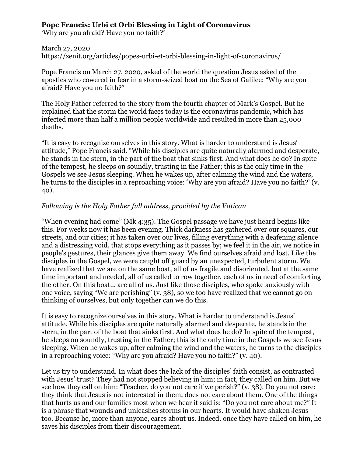## **Pope Francis: Urbi et Orbi Blessing in Light of Coronavirus**

'Why are you afraid? Have you no faith?'

March 27, 2020

https://zenit.org/articles/popes-urbi-et-orbi-blessing-in-light-of-coronavirus/

Pope Francis on March 27, 2020, asked of the world the question Jesus asked of the apostles who cowered in fear in a storm-seized boat on the Sea of Galilee: "Why are you afraid? Have you no faith?"

The Holy Father referred to the story from the fourth chapter of Mark's Gospel. But he explained that the storm the world faces today is the coronavirus pandemic, which has infected more than half a million people worldwide and resulted in more than 25,000 deaths.

"It is easy to recognize ourselves in this story. What is harder to understand is Jesus' attitude," Pope Francis said. "While his disciples are quite naturally alarmed and desperate, he stands in the stern, in the part of the boat that sinks first. And what does he do? In spite of the tempest, he sleeps on soundly, trusting in the Father; this is the only time in the Gospels we see Jesus sleeping. When he wakes up, after calming the wind and the waters, he turns to the disciples in a reproaching voice: 'Why are you afraid? Have you no faith?' (v. 40).

## *Following is the Holy Father full address, provided by the Vatican*

"When evening had come" (Mk 4:35). The Gospel passage we have just heard begins like this. For weeks now it has been evening. Thick darkness has gathered over our squares, our streets, and our cities; it has taken over our lives, filling everything with a deafening silence and a distressing void, that stops everything as it passes by; we feel it in the air, we notice in people's gestures, their glances give them away. We find ourselves afraid and lost. Like the disciples in the Gospel, we were caught off guard by an unexpected, turbulent storm. We have realized that we are on the same boat, all of us fragile and disoriented, but at the same time important and needed, all of us called to row together, each of us in need of comforting the other. On this boat… are all of us. Just like those disciples, who spoke anxiously with one voice, saying "We are perishing" (v. 38), so we too have realized that we cannot go on thinking of ourselves, but only together can we do this.

It is easy to recognize ourselves in this story. What is harder to understand is Jesus' attitude. While his disciples are quite naturally alarmed and desperate, he stands in the stern, in the part of the boat that sinks first. And what does he do? In spite of the tempest, he sleeps on soundly, trusting in the Father; this is the only time in the Gospels we see Jesus sleeping. When he wakes up, after calming the wind and the waters, he turns to the disciples in a reproaching voice: "Why are you afraid? Have you no faith?" (v. 40).

Let us try to understand. In what does the lack of the disciples' faith consist, as contrasted with Jesus' trust? They had not stopped believing in him; in fact, they called on him. But we see how they call on him: "Teacher, do you not care if we perish?" (v. 38). Do you not care: they think that Jesus is not interested in them, does not care about them. One of the things that hurts us and our families most when we hear it said is: "Do you not care about me?" It is a phrase that wounds and unleashes storms in our hearts. It would have shaken Jesus too. Because he, more than anyone, cares about us. Indeed, once they have called on him, he saves his disciples from their discouragement.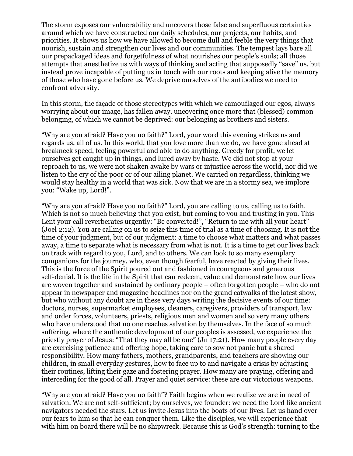The storm exposes our vulnerability and uncovers those false and superfluous certainties around which we have constructed our daily schedules, our projects, our habits, and priorities. It shows us how we have allowed to become dull and feeble the very things that nourish, sustain and strengthen our lives and our communities. The tempest lays bare all our prepackaged ideas and forgetfulness of what nourishes our people's souls; all those attempts that anesthetize us with ways of thinking and acting that supposedly "save" us, but instead prove incapable of putting us in touch with our roots and keeping alive the memory of those who have gone before us. We deprive ourselves of the antibodies we need to confront adversity.

In this storm, the façade of those stereotypes with which we camouflaged our egos, always worrying about our image, has fallen away, uncovering once more that (blessed) common belonging, of which we cannot be deprived: our belonging as brothers and sisters.

"Why are you afraid? Have you no faith?" Lord, your word this evening strikes us and regards us, all of us. In this world, that you love more than we do, we have gone ahead at breakneck speed, feeling powerful and able to do anything. Greedy for profit, we let ourselves get caught up in things, and lured away by haste. We did not stop at your reproach to us, we were not shaken awake by wars or injustice across the world, nor did we listen to the cry of the poor or of our ailing planet. We carried on regardless, thinking we would stay healthy in a world that was sick. Now that we are in a stormy sea, we implore you: "Wake up, Lord!".

"Why are you afraid? Have you no faith?" Lord, you are calling to us, calling us to faith. Which is not so much believing that you exist, but coming to you and trusting in you. This Lent your call reverberates urgently: "Be converted!", "Return to me with all your heart" (Joel 2:12). You are calling on us to seize this time of trial as a time of choosing. It is not the time of your judgment, but of our judgment: a time to choose what matters and what passes away, a time to separate what is necessary from what is not. It is a time to get our lives back on track with regard to you, Lord, and to others. We can look to so many exemplary companions for the journey, who, even though fearful, have reacted by giving their lives. This is the force of the Spirit poured out and fashioned in courageous and generous self-denial. It is the life in the Spirit that can redeem, value and demonstrate how our lives are woven together and sustained by ordinary people – often forgotten people – who do not appear in newspaper and magazine headlines nor on the grand catwalks of the latest show, but who without any doubt are in these very days writing the decisive events of our time: doctors, nurses, supermarket employees, cleaners, caregivers, providers of transport, law and order forces, volunteers, priests, religious men and women and so very many others who have understood that no one reaches salvation by themselves. In the face of so much suffering, where the authentic development of our peoples is assessed, we experience the priestly prayer of Jesus: "That they may all be one" (Jn 17:21). How many people every day are exercising patience and offering hope, taking care to sow not panic but a shared responsibility. How many fathers, mothers, grandparents, and teachers are showing our children, in small everyday gestures, how to face up to and navigate a crisis by adjusting their routines, lifting their gaze and fostering prayer. How many are praying, offering and interceding for the good of all. Prayer and quiet service: these are our victorious weapons.

"Why are you afraid? Have you no faith"? Faith begins when we realize we are in need of salvation. We are not self-sufficient; by ourselves, we founder: we need the Lord like ancient navigators needed the stars. Let us invite Jesus into the boats of our lives. Let us hand over our fears to him so that he can conquer them. Like the disciples, we will experience that with him on board there will be no shipwreck. Because this is God's strength: turning to the